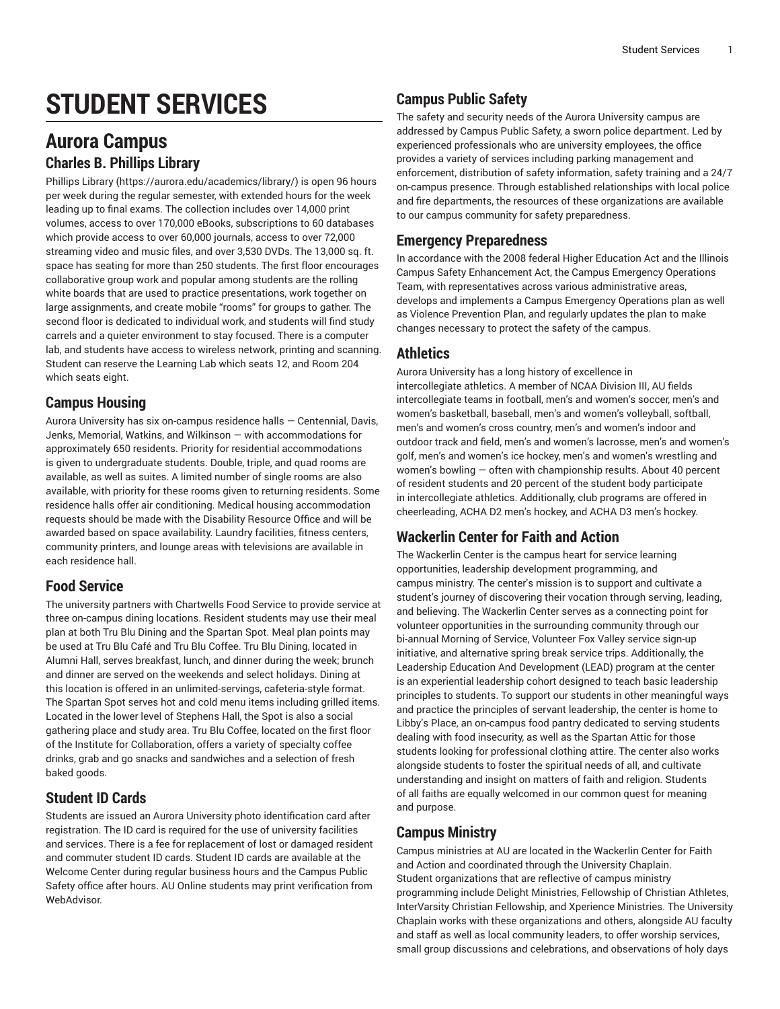# **STUDENT SERVICES**

# **Aurora Campus Charles B. Phillips Library**

[Phillips](https://aurora.edu/academics/library/) Library ([https://aurora.edu/academics/library/\)](https://aurora.edu/academics/library/) is open 96 hours per week during the regular semester, with extended hours for the week leading up to final exams. The collection includes over 14,000 print volumes, access to over 170,000 eBooks, subscriptions to 60 databases which provide access to over 60,000 journals, access to over 72,000 streaming video and music files, and over 3,530 DVDs. The 13,000 sq. ft. space has seating for more than 250 students. The first floor encourages collaborative group work and popular among students are the rolling white boards that are used to practice presentations, work together on large assignments, and create mobile "rooms" for groups to gather. The second floor is dedicated to individual work, and students will find study carrels and a quieter environment to stay focused. There is a computer lab, and students have access to wireless network, printing and scanning. Student can reserve the Learning Lab which seats 12, and Room 204 which seats eight.

### **Campus Housing**

Aurora University has six on-campus residence halls — Centennial, Davis, Jenks, Memorial, Watkins, and Wilkinson — with accommodations for approximately 650 residents. Priority for residential accommodations is given to undergraduate students. Double, triple, and quad rooms are available, as well as suites. A limited number of single rooms are also available, with priority for these rooms given to returning residents. Some residence halls offer air conditioning. Medical housing accommodation requests should be made with the Disability Resource Office and will be awarded based on space availability. Laundry facilities, fitness centers, community printers, and lounge areas with televisions are available in each residence hall.

### **Food Service**

The university partners with Chartwells Food Service to provide service at three on-campus dining locations. Resident students may use their meal plan at both Tru Blu Dining and the Spartan Spot. Meal plan points may be used at Tru Blu Café and Tru Blu Coffee. Tru Blu Dining, located in Alumni Hall, serves breakfast, lunch, and dinner during the week; brunch and dinner are served on the weekends and select holidays. Dining at this location is offered in an unlimited-servings, cafeteria-style format. The Spartan Spot serves hot and cold menu items including grilled items. Located in the lower level of Stephens Hall, the Spot is also a social gathering place and study area. Tru Blu Coffee, located on the first floor of the Institute for Collaboration, offers a variety of specialty coffee drinks, grab and go snacks and sandwiches and a selection of fresh baked goods.

# **Student ID Cards**

Students are issued an Aurora University photo identification card after registration. The ID card is required for the use of university facilities and services. There is a fee for replacement of lost or damaged resident and commuter student ID cards. Student ID cards are available at the Welcome Center during regular business hours and the Campus Public Safety office after hours. AU Online students may print verification from WebAdvisor.

# **Campus Public Safety**

The safety and security needs of the Aurora University campus are addressed by Campus Public Safety, a sworn police department. Led by experienced professionals who are university employees, the office provides a variety of services including parking management and enforcement, distribution of safety information, safety training and a 24/7 on-campus presence. Through established relationships with local police and fire departments, the resources of these organizations are available to our campus community for safety preparedness.

### **Emergency Preparedness**

In accordance with the 2008 federal Higher Education Act and the Illinois Campus Safety Enhancement Act, the Campus Emergency Operations Team, with representatives across various administrative areas, develops and implements a Campus Emergency Operations plan as well as Violence Prevention Plan, and regularly updates the plan to make changes necessary to protect the safety of the campus.

### **Athletics**

Aurora University has a long history of excellence in intercollegiate athletics. A member of NCAA Division III, AU fields intercollegiate teams in football, men's and women's soccer, men's and women's basketball, baseball, men's and women's volleyball, softball, men's and women's cross country, men's and women's indoor and outdoor track and field, men's and women's lacrosse, men's and women's golf, men's and women's ice hockey, men's and women's wrestling and women's bowling — often with championship results. About 40 percent of resident students and 20 percent of the student body participate in intercollegiate athletics. Additionally, club programs are offered in cheerleading, ACHA D2 men's hockey, and ACHA D3 men's hockey.

# **Wackerlin Center for Faith and Action**

The Wackerlin Center is the campus heart for service learning opportunities, leadership development programming, and campus ministry. The center's mission is to support and cultivate a student's journey of discovering their vocation through serving, leading, and believing. The Wackerlin Center serves as a connecting point for volunteer opportunities in the surrounding community through our bi-annual Morning of Service, Volunteer Fox Valley service sign-up initiative, and alternative spring break service trips. Additionally, the Leadership Education And Development (LEAD) program at the center is an experiential leadership cohort designed to teach basic leadership principles to students. To support our students in other meaningful ways and practice the principles of servant leadership, the center is home to Libby's Place, an on-campus food pantry dedicated to serving students dealing with food insecurity, as well as the Spartan Attic for those students looking for professional clothing attire. The center also works alongside students to foster the spiritual needs of all, and cultivate understanding and insight on matters of faith and religion. Students of all faiths are equally welcomed in our common quest for meaning and purpose.

# **Campus Ministry**

Campus ministries at AU are located in the Wackerlin Center for Faith and Action and coordinated through the University Chaplain. Student organizations that are reflective of campus ministry programming include Delight Ministries, Fellowship of Christian Athletes, InterVarsity Christian Fellowship, and Xperience Ministries. The University Chaplain works with these organizations and others, alongside AU faculty and staff as well as local community leaders, to offer worship services, small group discussions and celebrations, and observations of holy days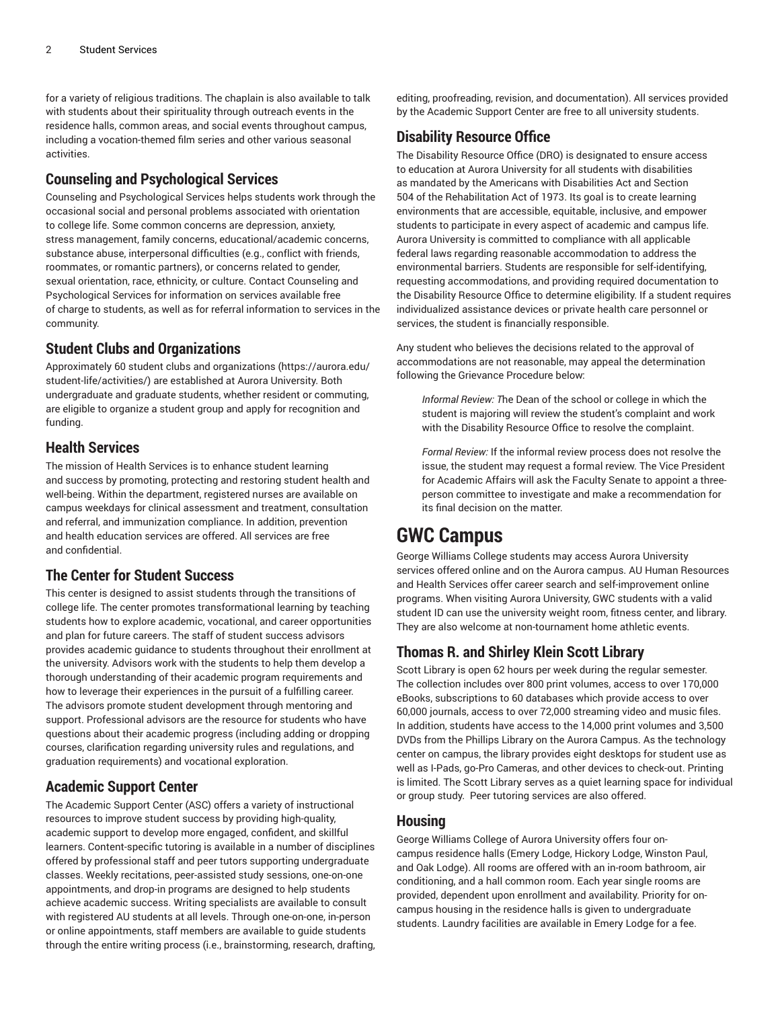for a variety of religious traditions. The chaplain is also available to talk with students about their spirituality through outreach events in the residence halls, common areas, and social events throughout campus, including a vocation-themed film series and other various seasonal activities.

### **Counseling and Psychological Services**

Counseling and Psychological Services helps students work through the occasional social and personal problems associated with orientation to college life. Some common concerns are depression, anxiety, stress management, family concerns, educational/academic concerns, substance abuse, interpersonal difficulties (e.g., conflict with friends, roommates, or romantic partners), or concerns related to gender, sexual orientation, race, ethnicity, or culture. Contact Counseling and Psychological Services for information on services available free of charge to students, as well as for referral information to services in the community.

### **Student Clubs and Organizations**

Approximately 60 student clubs and [organizations](https://aurora.edu/student-life/activities/) [\(https://aurora.edu/](https://aurora.edu/student-life/activities/) [student-life/activities/\)](https://aurora.edu/student-life/activities/) are established at Aurora University. Both undergraduate and graduate students, whether resident or commuting, are eligible to organize a student group and apply for recognition and funding.

### **Health Services**

The mission of Health Services is to enhance student learning and success by promoting, protecting and restoring student health and well-being. Within the department, registered nurses are available on campus weekdays for clinical assessment and treatment, consultation and referral, and immunization compliance. In addition, prevention and health education services are offered. All services are free and confidential.

### **The Center for Student Success**

This center is designed to assist students through the transitions of college life. The center promotes transformational learning by teaching students how to explore academic, vocational, and career opportunities and plan for future careers. The staff of student success advisors provides academic guidance to students throughout their enrollment at the university. Advisors work with the students to help them develop a thorough understanding of their academic program requirements and how to leverage their experiences in the pursuit of a fulfilling career. The advisors promote student development through mentoring and support. Professional advisors are the resource for students who have questions about their academic progress (including adding or dropping courses, clarification regarding university rules and regulations, and graduation requirements) and vocational exploration.

### **Academic Support Center**

The Academic Support Center (ASC) offers a variety of instructional resources to improve student success by providing high-quality, academic support to develop more engaged, confident, and skillful learners. Content-specific tutoring is available in a number of disciplines offered by professional staff and peer tutors supporting undergraduate classes. Weekly recitations, peer-assisted study sessions, one-on-one appointments, and drop-in programs are designed to help students achieve academic success. Writing specialists are available to consult with registered AU students at all levels. Through one-on-one, in-person or online appointments, staff members are available to guide students through the entire writing process (i.e., brainstorming, research, drafting,

editing, proofreading, revision, and documentation). All services provided by the Academic Support Center are free to all university students.

### **Disability Resource Office**

The Disability Resource Office (DRO) is designated to ensure access to education at Aurora University for all students with disabilities as mandated by the Americans with Disabilities Act and Section 504 of the Rehabilitation Act of 1973. Its goal is to create learning environments that are accessible, equitable, inclusive, and empower students to participate in every aspect of academic and campus life. Aurora University is committed to compliance with all applicable federal laws regarding reasonable accommodation to address the environmental barriers. Students are responsible for self-identifying, requesting accommodations, and providing required documentation to the Disability Resource Office to determine eligibility. If a student requires individualized assistance devices or private health care personnel or services, the student is financially responsible.

Any student who believes the decisions related to the approval of accommodations are not reasonable, may appeal the determination following the Grievance Procedure below:

*Informal Review: T*he Dean of the school or college in which the student is majoring will review the student's complaint and work with the Disability Resource Office to resolve the complaint.

*Formal Review:* If the informal review process does not resolve the issue, the student may request a formal review. The Vice President for Academic Affairs will ask the Faculty Senate to appoint a threeperson committee to investigate and make a recommendation for its final decision on the matter.

# **GWC Campus**

George Williams College students may access Aurora University services offered online and on the Aurora campus. AU Human Resources and Health Services offer career search and self-improvement online programs. When visiting Aurora University, GWC students with a valid student ID can use the university weight room, fitness center, and library. They are also welcome at non-tournament home athletic events.

### **Thomas R. and Shirley Klein Scott Library**

Scott Library is open 62 hours per week during the regular semester. The collection includes over 800 print volumes, access to over 170,000 eBooks, subscriptions to 60 databases which provide access to over 60,000 journals, access to over 72,000 streaming video and music files. In addition, students have access to the 14,000 print volumes and 3,500 DVDs from the Phillips Library on the Aurora Campus. As the technology center on campus, the library provides eight desktops for student use as well as I-Pads, go-Pro Cameras, and other devices to check-out. Printing is limited. The Scott Library serves as a quiet learning space for individual or group study. Peer tutoring services are also offered.

### **Housing**

George Williams College of Aurora University offers four oncampus residence halls (Emery Lodge, Hickory Lodge, Winston Paul, and Oak Lodge). All rooms are offered with an in-room bathroom, air conditioning, and a hall common room. Each year single rooms are provided, dependent upon enrollment and availability. Priority for oncampus housing in the residence halls is given to undergraduate students. Laundry facilities are available in Emery Lodge for a fee.